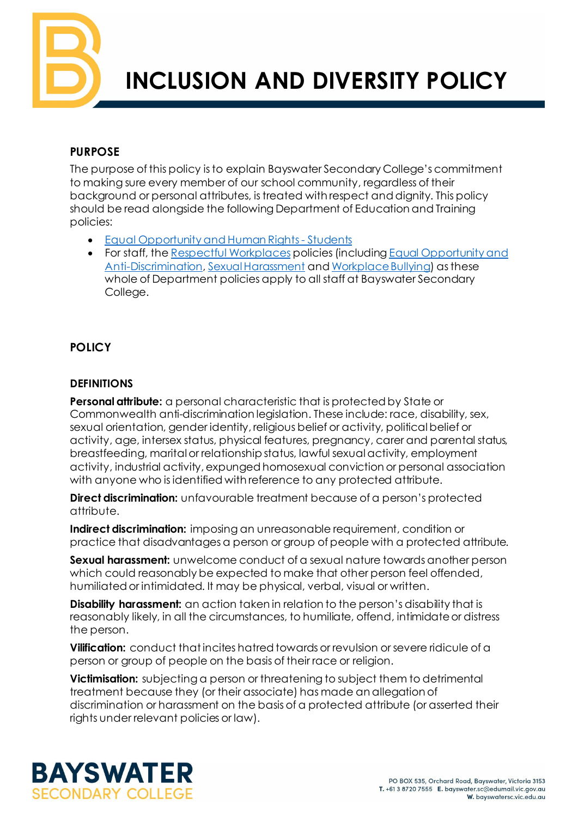

# **INCLUSION AND DIVERSITY POLICY**

#### **PURPOSE**

The purpose of this policy is to explain Bayswater Secondary College's commitment to making sure every member of our school community, regardless of their background or personal attributes, is treated with respect and dignity. This policy should be read alongside the following Department of Education and Training policies:

- [Equal Opportunity and Human Rights Students](https://www2.education.vic.gov.au/pal/equal-opportunity-human-rights-students/policy)
- For staff, the [Respectful Workplaces](https://www2.education.vic.gov.au/pal/respectful-workplaces/overview) policies (including Equal Opportunity and [Anti-Discrimination](https://www2.education.vic.gov.au/pal/equal-opportunity/overview)[, Sexual Harassment](https://www2.education.vic.gov.au/pal/sexual-harassment/overview) an[d Workplace Bullying](https://www2.education.vic.gov.au/pal/workplace-bullying/policy)) as these whole of Department policies apply to all staff at Bayswater Secondary College.

# **POLICY**

#### **DEFINITIONS**

**Personal attribute:** a personal characteristic that is protected by State or Commonwealth anti-discrimination legislation. These include: race, disability, sex, sexual orientation, gender identity, religious belief or activity, political belief or activity, age, intersex status, physical features, pregnancy, carer and parental status, breastfeeding, marital or relationship status, lawful sexual activity, employment activity, industrial activity, expunged homosexual conviction or personal association with anyone who is identified with reference to any protected attribute.

**Direct discrimination:** unfavourable treatment because of a person's protected attribute.

**Indirect discrimination:** imposing an unreasonable requirement, condition or practice that disadvantages a person or group of people with a protected attribute.

**Sexual harassment:** unwelcome conduct of a sexual nature towards another person which could reasonably be expected to make that other person feel offended, humiliated or intimidated. It may be physical, verbal, visual or written.

**Disability harassment:** an action taken in relation to the person's disability that is reasonably likely, in all the circumstances, to humiliate, offend, intimidate or distress the person.

**Vilification:** conduct that incites hatred towards or revulsion or severe ridicule of a person or group of people on the basis of their race or religion.

**Victimisation:** subjecting a person or threatening to subject them to detrimental treatment because they (or their associate) has made an allegation of discrimination or harassment on the basis of a protected attribute (or asserted their rights under relevant policies or law).

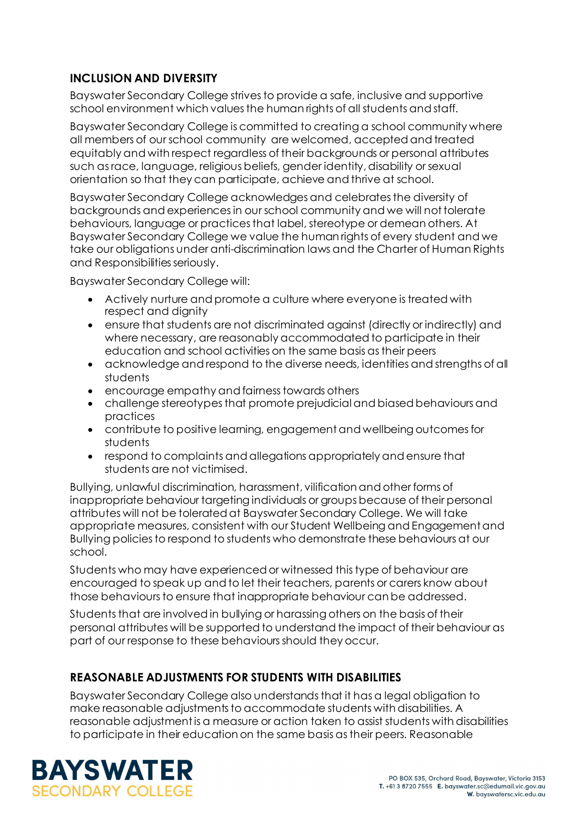# **INCLUSION AND DIVERSITY**

Bayswater Secondary College strives to provide a safe, inclusive and supportive school environment which values the human rights of all students and staff.

Bayswater Secondary College is committed to creating a school community where all members of our school community are welcomed, accepted and treated equitably and with respect regardless of their backgrounds or personal attributes such as race, language, religious beliefs, gender identity, disability or sexual orientation so that they can participate, achieve and thrive at school.

Bayswater Secondary College acknowledges and celebrates the diversity of backgrounds and experiences in our school community and we will not tolerate behaviours, language or practices that label, stereotype or demean others. At Bayswater Secondary College we value the human rights of every student and we take our obligations under anti-discrimination laws and the Charter of Human Rights and Responsibilities seriously.

Bayswater Secondary College will:

- Actively nurture and promote a culture where everyone is treated with respect and dignity
- ensure that students are not discriminated against (directly or indirectly) and where necessary, are reasonably accommodated to participate in their education and school activities on the same basis as their peers
- acknowledge and respond to the diverse needs, identities and strengths of all students
- encourage empathy and fairness towards others
- challenge stereotypes that promote prejudicial and biased behaviours and practices
- contribute to positive learning, engagement and wellbeing outcomes for students
- respond to complaints and allegations appropriately and ensure that students are not victimised.

Bullying, unlawful discrimination, harassment, vilification and other forms of inappropriate behaviour targeting individuals or groups because of their personal attributes will not be tolerated at Bayswater Secondary College. We will take appropriate measures, consistent with our Student Wellbeing and Engagement and Bullying policies to respond to students who demonstrate these behaviours at our school.

Students who may have experienced or witnessed this type of behaviour are encouraged to speak up and to let their teachers, parents or carers know about those behaviours to ensure that inappropriate behaviour can be addressed.

Students that are involved in bullying or harassing others on the basis of their personal attributes will be supported to understand the impact of their behaviour as part of our response to these behaviours should they occur.

# **REASONABLE ADJUSTMENTS FOR STUDENTS WITH DISABILITIES**

Bayswater Secondary College also understands that it has a legal obligation to make reasonable adjustments to accommodate students with disabilities. A reasonable adjustment is a measure or action taken to assist students with disabilities to participate in their education on the same basis as their peers. Reasonable